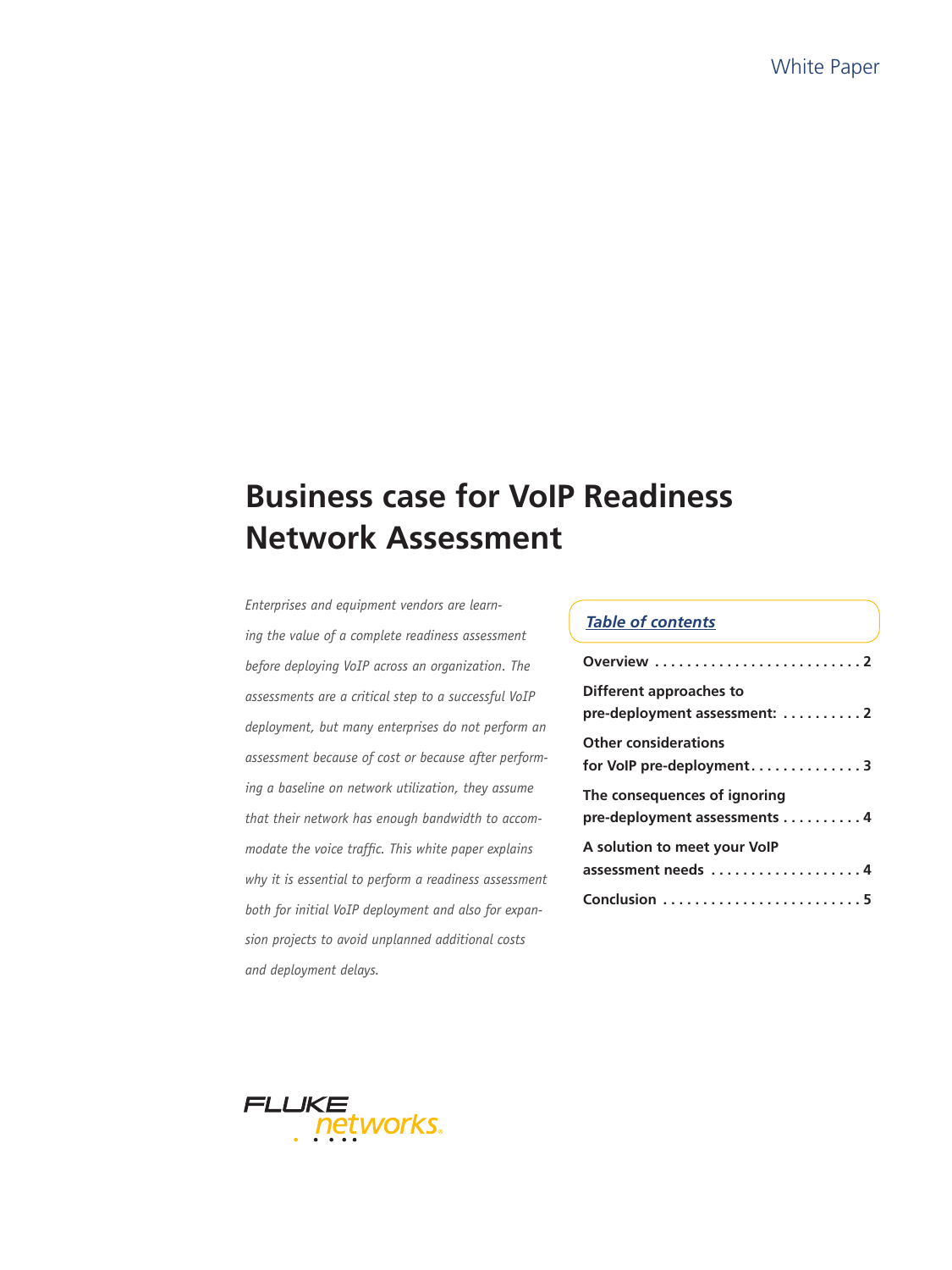# **Business case for VoIP Readiness Network Assessment**

*Enterprises and equipment vendors are learning the value of a complete readiness assessment before deploying VoIP across an organization. The assessments are a critical step to a successful VoIP deployment, but many enterprises do not perform an assessment because of cost or because after performing a baseline on network utilization, they assume that their network has enough bandwidth to accommodate the voice traffic. This white paper explains why it is essential to perform a readiness assessment both for initial VoIP deployment and also for expansion projects to avoid unplanned additional costs and deployment delays.*

## *Table of contents*

| Different approaches to<br>pre-deployment assessment: 2      |
|--------------------------------------------------------------|
| <b>Other considerations</b><br>for VoIP pre-deployment3      |
| The consequences of ignoring<br>pre-deployment assessments 4 |
| A solution to meet your VoIP<br>assessment needs 4           |
| Conclusion 5                                                 |

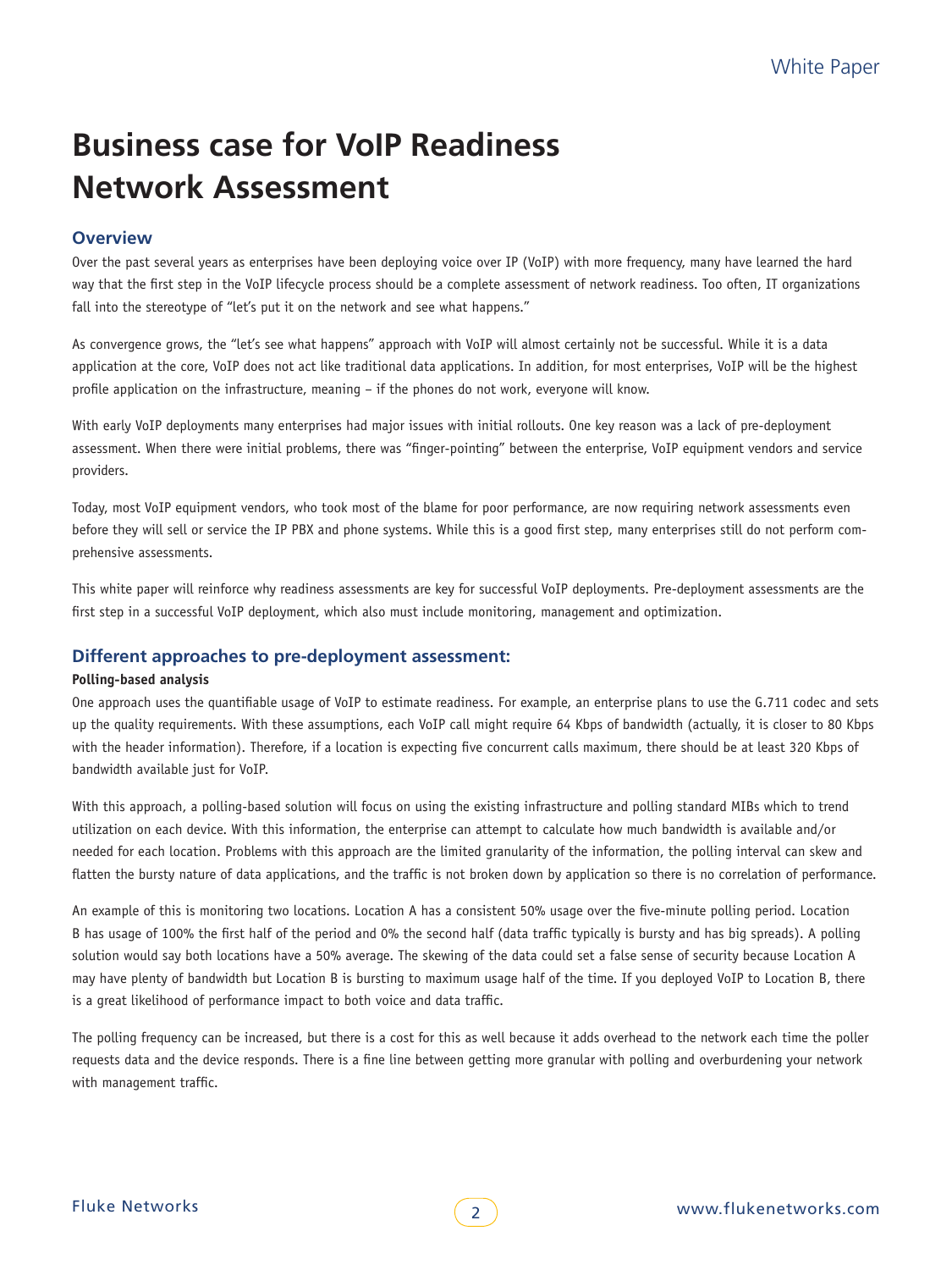# **Business case for VoIP Readiness Network Assessment**

# **Overview**

Over the past several years as enterprises have been deploying voice over IP (VoIP) with more frequency, many have learned the hard way that the first step in the VoIP lifecycle process should be a complete assessment of network readiness. Too often, IT organizations fall into the stereotype of "let's put it on the network and see what happens."

As convergence grows, the "let's see what happens" approach with VoIP will almost certainly not be successful. While it is a data application at the core, VoIP does not act like traditional data applications. In addition, for most enterprises, VoIP will be the highest profile application on the infrastructure, meaning – if the phones do not work, everyone will know.

With early VoIP deployments many enterprises had major issues with initial rollouts. One key reason was a lack of pre-deployment assessment. When there were initial problems, there was "finger-pointing" between the enterprise, VoIP equipment vendors and service providers.

Today, most VoIP equipment vendors, who took most of the blame for poor performance, are now requiring network assessments even before they will sell or service the IP PBX and phone systems. While this is a good first step, many enterprises still do not perform comprehensive assessments.

This white paper will reinforce why readiness assessments are key for successful VoIP deployments. Pre-deployment assessments are the first step in a successful VoIP deployment, which also must include monitoring, management and optimization.

### **Different approaches to pre-deployment assessment:**

#### **Polling-based analysis**

One approach uses the quantifiable usage of VoIP to estimate readiness. For example, an enterprise plans to use the G.711 codec and sets up the quality requirements. With these assumptions, each VoIP call might require 64 Kbps of bandwidth (actually, it is closer to 80 Kbps with the header information). Therefore, if a location is expecting five concurrent calls maximum, there should be at least 320 Kbps of bandwidth available just for VoIP.

With this approach, a polling-based solution will focus on using the existing infrastructure and polling standard MIBs which to trend utilization on each device. With this information, the enterprise can attempt to calculate how much bandwidth is available and/or needed for each location. Problems with this approach are the limited granularity of the information, the polling interval can skew and flatten the bursty nature of data applications, and the traffic is not broken down by application so there is no correlation of performance.

An example of this is monitoring two locations. Location A has a consistent 50% usage over the five-minute polling period. Location B has usage of 100% the first half of the period and 0% the second half (data traffic typically is bursty and has big spreads). A polling solution would say both locations have a 50% average. The skewing of the data could set a false sense of security because Location A may have plenty of bandwidth but Location B is bursting to maximum usage half of the time. If you deployed VoIP to Location B, there is a great likelihood of performance impact to both voice and data traffic.

The polling frequency can be increased, but there is a cost for this as well because it adds overhead to the network each time the poller requests data and the device responds. There is a fine line between getting more granular with polling and overburdening your network with management traffic.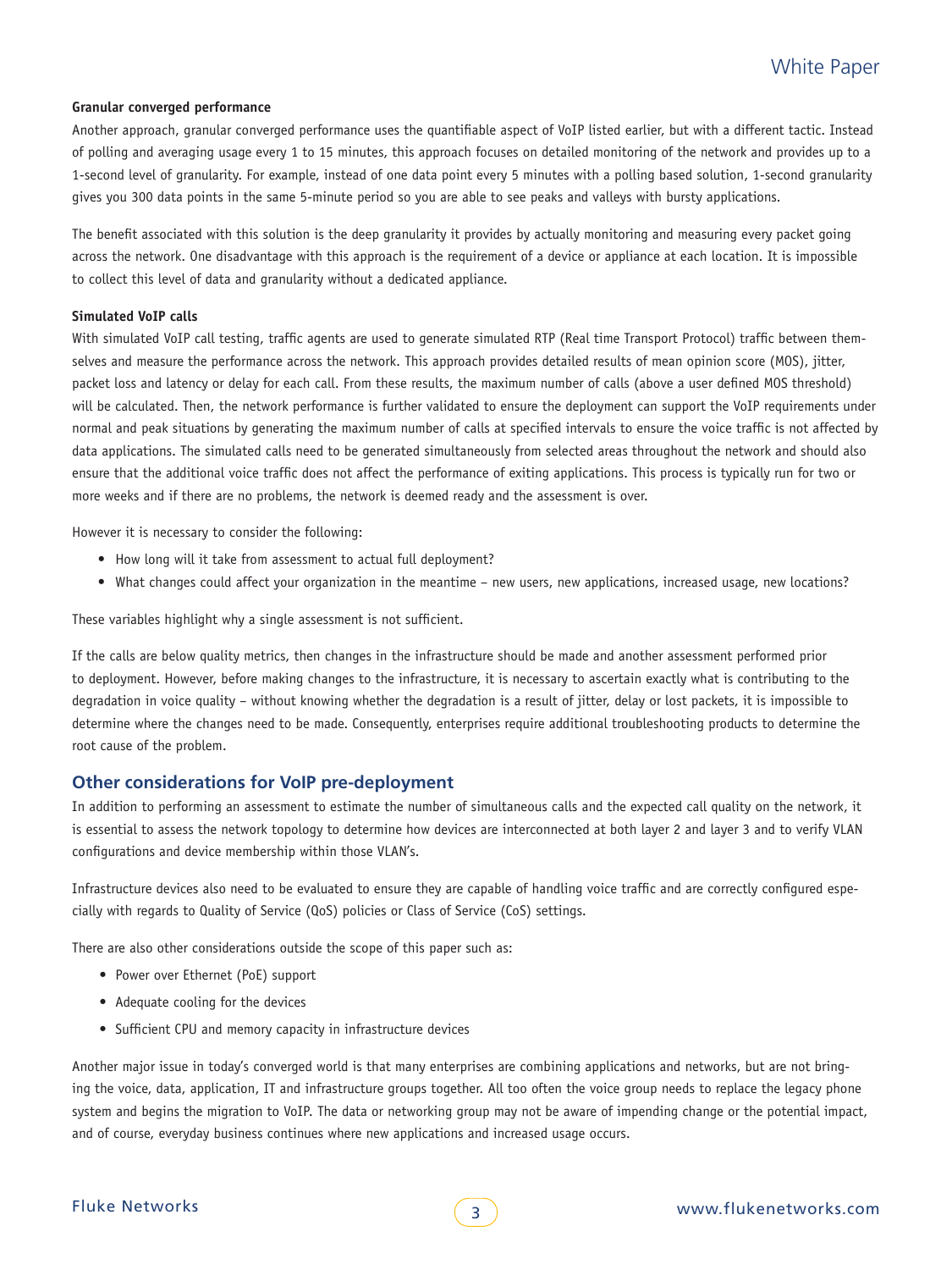#### **Granular converged performance**

Another approach, granular converged performance uses the quantifiable aspect of VoIP listed earlier, but with a different tactic. Instead of polling and averaging usage every 1 to 15 minutes, this approach focuses on detailed monitoring of the network and provides up to a 1-second level of granularity. For example, instead of one data point every 5 minutes with a polling based solution, 1-second granularity gives you 300 data points in the same 5-minute period so you are able to see peaks and valleys with bursty applications.

The benefit associated with this solution is the deep granularity it provides by actually monitoring and measuring every packet going across the network. One disadvantage with this approach is the requirement of a device or appliance at each location. It is impossible to collect this level of data and granularity without a dedicated appliance.

#### **Simulated VoIP calls**

With simulated VoIP call testing, traffic agents are used to generate simulated RTP (Real time Transport Protocol) traffic between themselves and measure the performance across the network. This approach provides detailed results of mean opinion score (MOS), jitter, packet loss and latency or delay for each call. From these results, the maximum number of calls (above a user defined MOS threshold) will be calculated. Then, the network performance is further validated to ensure the deployment can support the VoIP requirements under normal and peak situations by generating the maximum number of calls at specified intervals to ensure the voice traffic is not affected by data applications. The simulated calls need to be generated simultaneously from selected areas throughout the network and should also ensure that the additional voice traffic does not affect the performance of exiting applications. This process is typically run for two or more weeks and if there are no problems, the network is deemed ready and the assessment is over.

However it is necessary to consider the following:

- How long will it take from assessment to actual full deployment?
- • What changes could affect your organization in the meantime new users, new applications, increased usage, new locations?

These variables highlight why a single assessment is not sufficient.

If the calls are below quality metrics, then changes in the infrastructure should be made and another assessment performed prior to deployment. However, before making changes to the infrastructure, it is necessary to ascertain exactly what is contributing to the degradation in voice quality – without knowing whether the degradation is a result of jitter, delay or lost packets, it is impossible to determine where the changes need to be made. Consequently, enterprises require additional troubleshooting products to determine the root cause of the problem.

#### **Other considerations for VoIP pre-deployment**

In addition to performing an assessment to estimate the number of simultaneous calls and the expected call quality on the network, it is essential to assess the network topology to determine how devices are interconnected at both layer 2 and layer 3 and to verify VLAN configurations and device membership within those VLAN's.

Infrastructure devices also need to be evaluated to ensure they are capable of handling voice traffic and are correctly configured especially with regards to Quality of Service (QoS) policies or Class of Service (CoS) settings.

There are also other considerations outside the scope of this paper such as:

- Power over Ethernet (PoE) support
- Adequate cooling for the devices
- Sufficient CPU and memory capacity in infrastructure devices

Another major issue in today's converged world is that many enterprises are combining applications and networks, but are not bringing the voice, data, application, IT and infrastructure groups together. All too often the voice group needs to replace the legacy phone system and begins the migration to VoIP. The data or networking group may not be aware of impending change or the potential impact, and of course, everyday business continues where new applications and increased usage occurs.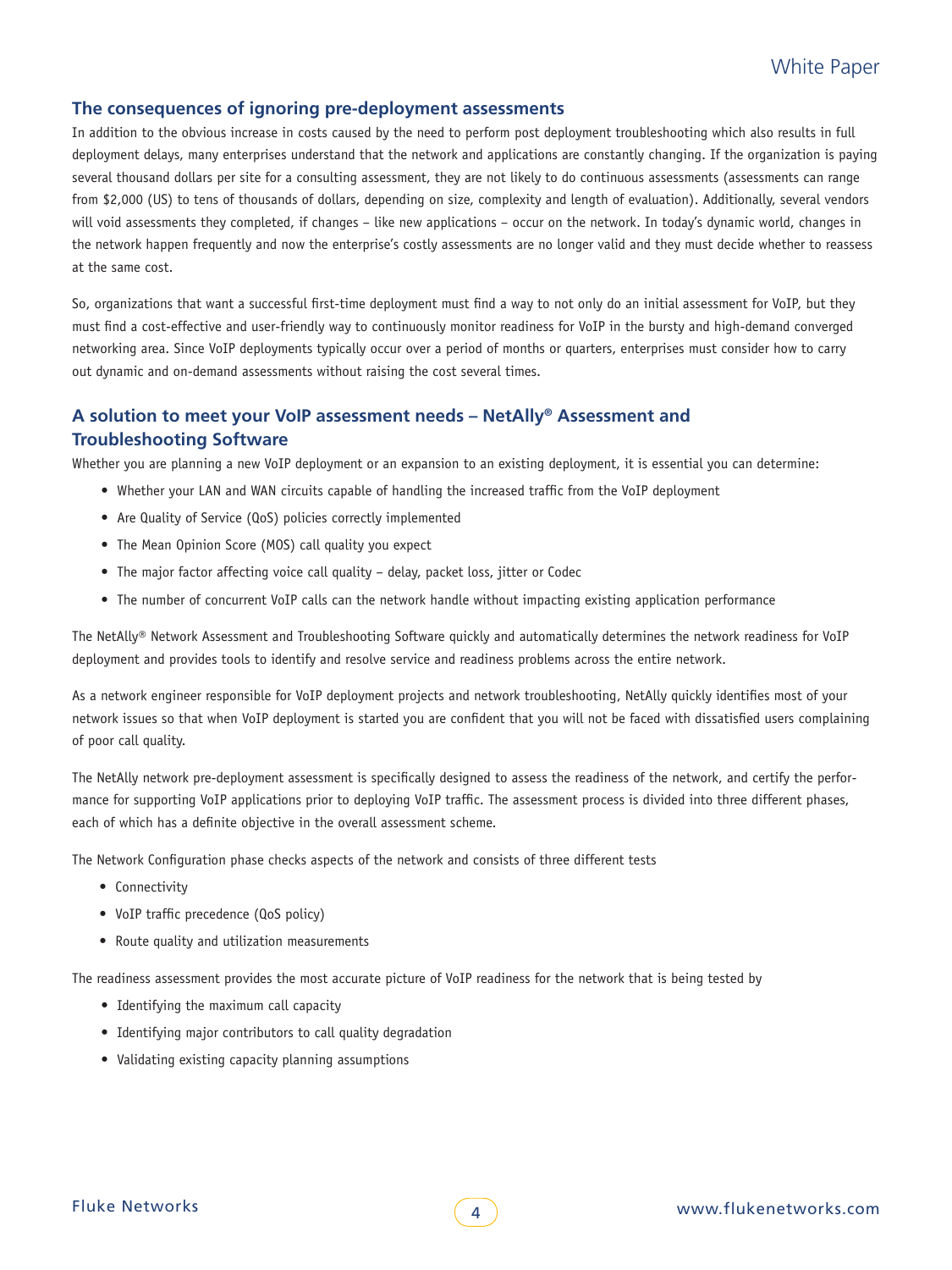### **The consequences of ignoring pre-deployment assessments**

In addition to the obvious increase in costs caused by the need to perform post deployment troubleshooting which also results in full deployment delays, many enterprises understand that the network and applications are constantly changing. If the organization is paying several thousand dollars per site for a consulting assessment, they are not likely to do continuous assessments (assessments can range from \$2,000 (US) to tens of thousands of dollars, depending on size, complexity and length of evaluation). Additionally, several vendors will void assessments they completed, if changes – like new applications – occur on the network. In today's dynamic world, changes in the network happen frequently and now the enterprise's costly assessments are no longer valid and they must decide whether to reassess at the same cost.

So, organizations that want a successful first-time deployment must find a way to not only do an initial assessment for VoIP, but they must find a cost-effective and user-friendly way to continuously monitor readiness for VoIP in the bursty and high-demand converged networking area. Since VoIP deployments typically occur over a period of months or quarters, enterprises must consider how to carry out dynamic and on-demand assessments without raising the cost several times.

# **A solution to meet your VoIP assessment needs – NetAlly® Assessment and Troubleshooting Software**

Whether you are planning a new VoIP deployment or an expansion to an existing deployment, it is essential you can determine:

- • Whether your LAN and WAN circuits capable of handling the increased traffic from the VoIP deployment
- Are Quality of Service (QoS) policies correctly implemented
- The Mean Opinion Score (MOS) call quality you expect
- The major factor affecting voice call quality delay, packet loss, jitter or Codec
- The number of concurrent VoIP calls can the network handle without impacting existing application performance

The NetAlly® Network Assessment and Troubleshooting Software quickly and automatically determines the network readiness for VoIP deployment and provides tools to identify and resolve service and readiness problems across the entire network.

As a network engineer responsible for VoIP deployment projects and network troubleshooting, NetAlly quickly identifies most of your network issues so that when VoIP deployment is started you are confident that you will not be faced with dissatisfied users complaining of poor call quality.

The NetAlly network pre-deployment assessment is specifically designed to assess the readiness of the network, and certify the performance for supporting VoIP applications prior to deploying VoIP traffic. The assessment process is divided into three different phases, each of which has a definite objective in the overall assessment scheme.

The Network Configuration phase checks aspects of the network and consists of three different tests

- • Connectivity
- VoIP traffic precedence (QoS policy)
- Route quality and utilization measurements

The readiness assessment provides the most accurate picture of VoIP readiness for the network that is being tested by

- • Identifying the maximum call capacity
- Identifying major contributors to call quality degradation
- • Validating existing capacity planning assumptions